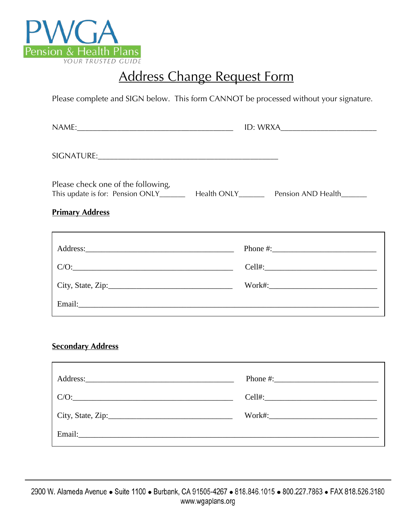

# Address Change Request Form

Please complete and SIGN below. This form CANNOT be processed without your signature.

| Please check one of the following, |          |
|------------------------------------|----------|
| <b>Primary Address</b>             |          |
|                                    | Phone #: |
| $C/O: \underline{\hspace{2.5cm}}$  |          |
| City, State, Zip:                  |          |
|                                    |          |

# **Secondary Address**

| C/O: |  |
|------|--|
|      |  |
|      |  |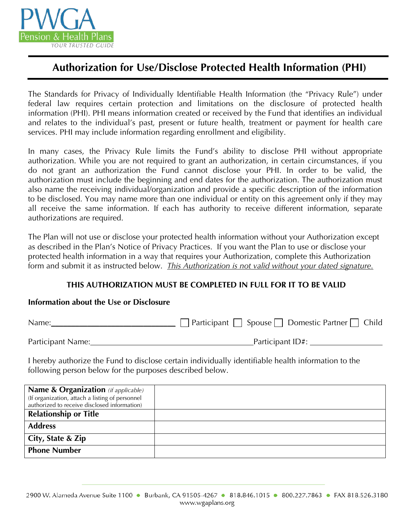

# **Authorization for Use/Disclose Protected Health Information (PHI)**

The Standards for Privacy of Individually Identifiable Health Information (the "Privacy Rule") under federal law requires certain protection and limitations on the disclosure of protected health information (PHI). PHI means information created or received by the Fund that identifies an individual and relates to the individual's past, present or future health, treatment or payment for health care services. PHI may include information regarding enrollment and eligibility.

In many cases, the Privacy Rule limits the Fund's ability to disclose PHI without appropriate authorization. While you are not required to grant an authorization, in certain circumstances, if you do not grant an authorization the Fund cannot disclose your PHI. In order to be valid, the authorization must include the beginning and end dates for the authorization. The authorization must also name the receiving individual/organization and provide a specific description of the information to be disclosed. You may name more than one individual or entity on this agreement only if they may all receive the same information. If each has authority to receive different information, separate authorizations are required.

The Plan will not use or disclose your protected health information without your Authorization except as described in the Plan's Notice of Privacy Practices. If you want the Plan to use or disclose your protected health information in a way that requires your Authorization, complete this Authorization form and submit it as instructed below. *This Authorization is not valid without your dated signature.*

# **THIS AUTHORIZATION MUST BE COMPLETED IN FULL FOR IT TO BE VALID**

### **Information about the Use or Disclosure**

| Name:             | $\Box$ Participant $\Box$ Spouse $\Box$ Domestic Partner $\Box$ Child |  |
|-------------------|-----------------------------------------------------------------------|--|
| Participant Name: | Participant ID#:                                                      |  |

I hereby authorize the Fund to disclose certain individually identifiable health information to the following person below for the purposes described below.

| Name & Organization (if applicable)             |  |
|-------------------------------------------------|--|
| (If organization, attach a listing of personnel |  |
| authorized to receive disclosed information)    |  |
| <b>Relationship or Title</b>                    |  |
| <b>Address</b>                                  |  |
| City, State & Zip                               |  |
| <b>Phone Number</b>                             |  |
|                                                 |  |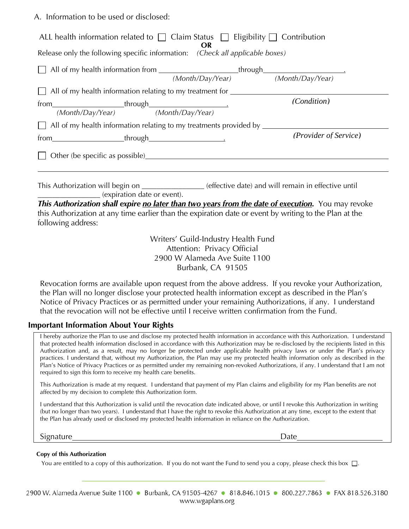A. Information to be used or disclosed:

|                                                                               | ALL health information related to $\Box$ Claim Status $\Box$ Eligibility $\Box$ Contribution<br>OR                                                                                                             |                                                                                                    |
|-------------------------------------------------------------------------------|----------------------------------------------------------------------------------------------------------------------------------------------------------------------------------------------------------------|----------------------------------------------------------------------------------------------------|
| Release only the following specific information: (Check all applicable boxes) |                                                                                                                                                                                                                |                                                                                                    |
|                                                                               |                                                                                                                                                                                                                |                                                                                                    |
|                                                                               | All of my health information relating to my treatment for _______________________                                                                                                                              |                                                                                                    |
|                                                                               | All of my health information relating to my treatments provided by ______________                                                                                                                              | (Condition)                                                                                        |
|                                                                               |                                                                                                                                                                                                                | (Provider of Service)                                                                              |
| (expiration date or event).<br>following address:                             | This Authorization will begin on ________________(effective date) and will remain in effective until<br>this Authorization at any time earlier than the expiration date or event by writing to the Plan at the | This Authorization shall expire no later than two years from the date of execution. You may revoke |
|                                                                               | Writers' Guild-Industry Health Fund                                                                                                                                                                            |                                                                                                    |
|                                                                               | Attention: Privacy Official                                                                                                                                                                                    |                                                                                                    |

Attention: Privacy Official 2900 W Alameda Ave Suite 1100 Burbank, CA 91505

Revocation forms are available upon request from the above address. If you revoke your Authorization, the Plan will no longer disclose your protected health information except as described in the Plan's Notice of Privacy Practices or as permitted under your remaining Authorizations, if any. I understand that the revocation will not be effective until I receive written confirmation from the Fund.

### **Important Information About Your Rights**

I hereby authorize the Plan to use and disclose my protected health information in accordance with this Authorization. I understand that protected health information disclosed in accordance with this Authorization may be re-disclosed by the recipients listed in this Authorization and, as a result, may no longer be protected under applicable health privacy laws or under the Plan's privacy practices. I understand that, without my Authorization, the Plan may use my protected health information only as described in the Plan's Notice of Privacy Practices or as permitted under my remaining non-revoked Authorizations, if any. I understand that I am not required to sign this form to receive my health care benefits.

This Authorization is made at my request. I understand that payment of my Plan claims and eligibility for my Plan benefits are not affected by my decision to complete this Authorization form.

I understand that this Authorization is valid until the revocation date indicated above, or until I revoke this Authorization in writing (but no longer than two years). I understand that I have the right to revoke this Authorization at any time, except to the extent that the Plan has already used or disclosed my protected health information in reliance on the Authorization.

Signature Date Date Date of the Date Date of the Date Date Date Date of the Date Date of the Date of the Date of the Date of the Date of the Date of the Date of the Date of the Date of the Date of the Date of the Date of t

#### **Copy of this Authorization**

You are entitled to a copy of this authorization. If you do not want the Fund to send you a copy, please check this box  $\Box$ .